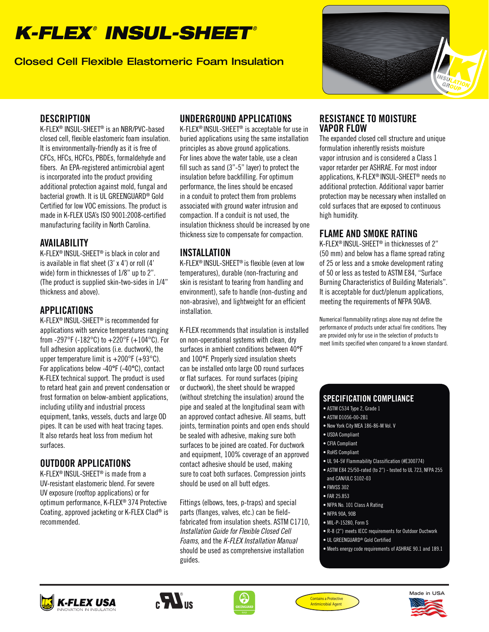# *K-FLEX*®  *INSUL-SHEET* ®

Closed Cell Flexible Elastomeric Foam Insulation



#### **DESCRIPTION**

K-FLEX® INSUL-SHEET® is an NBR/PVC-based closed cell, flexible elastomeric foam insulation. It is environmentally-friendly as it is free of CFCs, HFCs, HCFCs, PBDEs, formaldehyde and fibers. An EPA-registered antimicrobial agent is incorporated into the product providing additional protection against mold, fungal and bacterial growth. It is UL GREENGUARD® Gold Certified for low VOC emissions. The product is made in K-FLEX USA's ISO 9001:2008-certified manufacturing facility in North Carolina.

#### AVAILABILITY

K-FLEX® INSUL-SHEET® is black in color and is available in flat sheet (3' x 4') or roll (4' wide) form in thicknesses of 1/8" up to 2". (The product is supplied skin-two-sides in 1/4" thickness and above).

# APPLICATIONS

K-FLEX® INSUL-SHEET® is recommended for applications with service temperatures ranging from -297°F (-182°C) to  $+220$ °F (+104°C). For full adhesion applications (i.e. ductwork), the upper temperature limit is  $+200^{\circ}F (+93^{\circ}C)$ . For applications below -40°F (-40°C), contact K-FLEX technical support. The product is used to retard heat gain and prevent condensation or frost formation on below-ambient applications, including utility and industrial process equipment, tanks, vessels, ducts and large OD pipes. It can be used with heat tracing tapes. It also retards heat loss from medium hot surfaces.

### OUTDOOR APPLICATIONS

K-FLEX® INSUL-SHEET® is made from a UV-resistant elastomeric blend. For severe UV exposure (rooftop applications) or for optimum performance, K-FLEX® 374 Protective Coating, approved jacketing or K-FLEX Clad® is recommended.

## UNDERGROUND APPLICATIONS

K-FLEX® INSUL-SHEET® is acceptable for use in buried applications using the same installation principles as above ground applications. For lines above the water table, use a clean fill such as sand (3"-5" layer) to protect the insulation before backfilling. For optimum performance, the lines should be encased in a conduit to protect them from problems associated with ground water intrusion and compaction. If a conduit is not used, the insulation thickness should be increased by one thickness size to compensate for compaction.

### INSTALLATION

K-FLEX® INSUL-SHEET® is flexible (even at low temperatures), durable (non-fracturing and skin is resistant to tearing from handling and environment), safe to handle (non-dusting and non-abrasive), and lightweight for an efficient installation.

K-FLEX recommends that insulation is installed on non-operational systems with clean, dry surfaces in ambient conditions between 40°F and 100°F. Properly sized insulation sheets can be installed onto large OD round surfaces or flat surfaces. For round surfaces (piping or ductwork), the sheet should be wrapped (without stretching the insulation) around the pipe and sealed at the longitudinal seam with an approved contact adhesive. All seams, butt joints, termination points and open ends should be sealed with adhesive, making sure both surfaces to be joined are coated. For ductwork and equipment, 100% coverage of an approved contact adhesive should be used, making sure to coat both surfaces. Compression joints should be used on all butt edges.

Fittings (elbows, tees, p-traps) and special parts (flanges, valves, etc.) can be fieldfabricated from insulation sheets. ASTM C1710, Installation Guide for Flexible Closed Cell Foams, and the K-FLEX Installation Manual should be used as comprehensive installation guides.

#### RESISTANCE TO MOISTURE VAPOR FLOW

The expanded closed cell structure and unique formulation inherently resists moisture vapor intrusion and is considered a Class 1 vapor retarder per ASHRAE. For most indoor applications, K-FLEX® INSUL-SHEET® needs no additional protection. Additional vapor barrier protection may be necessary when installed on cold surfaces that are exposed to continuous high humidity.

# FLAME AND SMOKE RATING

K-FLEX® INSUL-SHEET® in thicknesses of 2" (50 mm) and below has a flame spread rating of 25 or less and a smoke development rating of 50 or less as tested to ASTM E84, "Surface Burning Characteristics of Building Materials". It is acceptable for duct/plenum applications, meeting the requirements of NFPA 90A/B.

Numerical flammability ratings alone may not define the performance of products under actual fire conditions. They are provided only for use in the selection of products to meet limits specified when compared to a known standard.

#### SPECIFICATION COMPLIANCE

- ASTM C534 Type 2, Grade 1
- ASTM D1056-00-2B1
- New York City MEA 186-86-M Vol. V
- USDA Compliant
- CFIA Compliant
- RoHS Compliant
- UL 94-5V Flammability Classification (#E300774)
- ASTM E84 25/50-rated (to 2") tested to UL 723, NFPA 255 and CAN/ULC S102-03
- FMVSS 302
- FAR 25.853
- NFPA No. 101 Class A Rating
- NFPA 90A, 90B
- MIL-P-15280, Form S
- R-8 (2") meets IECC requirements for Outdoor Ductwork
- UL GREENGUARD® Gold Certified
- Meets energy code requirements of ASHRAE 90.1 and 189.1